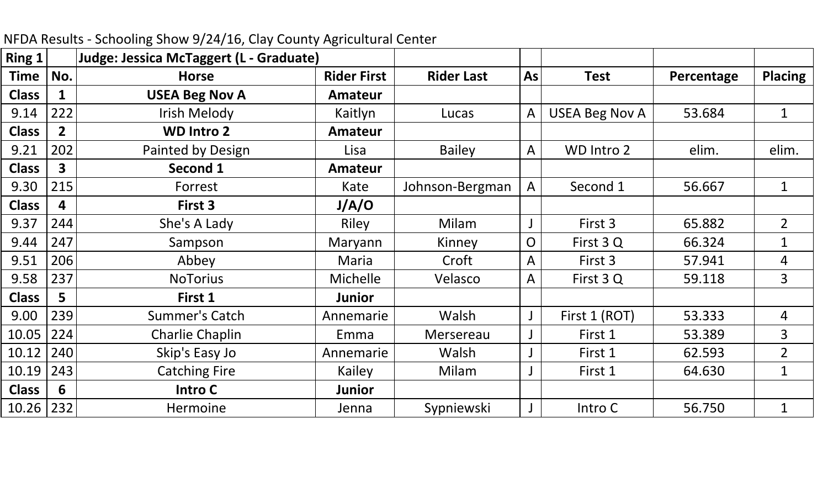| <b>Ring 1</b> |                | Judge: Jessica McTaggert (L - Graduate) |                    |                   |                |                       |            |                |
|---------------|----------------|-----------------------------------------|--------------------|-------------------|----------------|-----------------------|------------|----------------|
| Time          | No.            | <b>Horse</b>                            | <b>Rider First</b> | <b>Rider Last</b> | As             | <b>Test</b>           | Percentage | <b>Placing</b> |
| <b>Class</b>  |                | <b>USEA Beg Nov A</b>                   | <b>Amateur</b>     |                   |                |                       |            |                |
| 9.14          | 222            | Irish Melody                            | Kaitlyn            | Lucas             | $\mathsf{A}$   | <b>USEA Beg Nov A</b> | 53.684     | $\mathbf{1}$   |
| <b>Class</b>  | $\overline{2}$ | <b>WD Intro 2</b>                       | <b>Amateur</b>     |                   |                |                       |            |                |
| 9.21          | 202            | Painted by Design                       | Lisa               | <b>Bailey</b>     | A              | WD Intro 2            | elim.      | elim.          |
| <b>Class</b>  | 3              | Second 1                                | <b>Amateur</b>     |                   |                |                       |            |                |
| 9.30          | 215            | Forrest                                 | Kate               | Johnson-Bergman   | $\mathsf{A}$   | Second 1              | 56.667     | $\mathbf{1}$   |
| <b>Class</b>  | 4              | First 3                                 | J/A/O              |                   |                |                       |            |                |
| 9.37          | 244            | She's A Lady                            | Riley              | Milam             |                | First 3               | 65.882     | $\overline{2}$ |
| 9.44          | 247            | Sampson                                 | Maryann            | Kinney            | $\overline{O}$ | First 3 Q             | 66.324     | $\mathbf 1$    |
| 9.51          | 206            | Abbey                                   | Maria              | Croft             | A              | First 3               | 57.941     | 4              |
| 9.58          | 237            | <b>NoTorius</b>                         | <b>Michelle</b>    | Velasco           | $\mathsf{A}$   | First 3Q              | 59.118     | $\overline{3}$ |
| <b>Class</b>  | 5              | First 1                                 | <b>Junior</b>      |                   |                |                       |            |                |
| 9.00          | 239            | Summer's Catch                          | Annemarie          | Walsh             |                | First 1 (ROT)         | 53.333     | 4              |
| 10.05         | 224            | Charlie Chaplin                         | Emma               | Mersereau         |                | First 1               | 53.389     | $\overline{3}$ |
| 10.12         | 240            | Skip's Easy Jo                          | Annemarie          | Walsh             |                | First 1               | 62.593     | $\overline{2}$ |
| 10.19         | 243            | <b>Catching Fire</b>                    | Kailey             | Milam             |                | First 1               | 64.630     | $\mathbf{1}$   |
| <b>Class</b>  | 6              | Intro C                                 | <b>Junior</b>      |                   |                |                       |            |                |
| 10.26         | 232            | <b>Hermoine</b>                         | Jenna              | Sypniewski        |                | Intro C               | 56.750     |                |

NFDA Results ‐ Schooling Show 9/24/16, Clay County Agricultural Center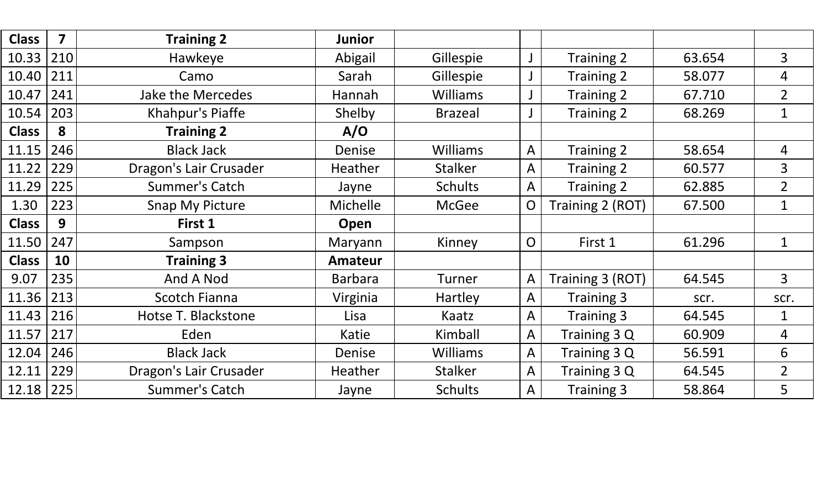| <b>Class</b> | $\overline{\mathbf{z}}$ | <b>Training 2</b>      | <b>Junior</b>   |                 |                |                   |        |                |
|--------------|-------------------------|------------------------|-----------------|-----------------|----------------|-------------------|--------|----------------|
| 10.33        | 210                     | Hawkeye                | Abigail         | Gillespie       | J              | <b>Training 2</b> | 63.654 | 3              |
| 10.40        | 211                     | Camo                   | Sarah           | Gillespie       |                | Training 2        | 58.077 | 4              |
| 10.47        | 241                     | Jake the Mercedes      | Hannah          | <b>Williams</b> |                | Training 2        | 67.710 | $\overline{2}$ |
| 10.54        | 203                     | Khahpur's Piaffe       | Shelby          | <b>Brazeal</b>  |                | Training 2        | 68.269 | $\mathbf{1}$   |
| <b>Class</b> | 8                       | <b>Training 2</b>      | A/O             |                 |                |                   |        |                |
| 11.15        | 246                     | <b>Black Jack</b>      | Denise          | <b>Williams</b> | A              | Training 2        | 58.654 | 4              |
| 11.22        | 229                     | Dragon's Lair Crusader | Heather         | <b>Stalker</b>  | A              | Training 2        | 60.577 | 3              |
| 11.29        | 225                     | <b>Summer's Catch</b>  | Jayne           | <b>Schults</b>  | A              | Training 2        | 62.885 | $\overline{2}$ |
| 1.30         | 223                     | <b>Snap My Picture</b> | <b>Michelle</b> | <b>McGee</b>    | $\overline{O}$ | Training 2 (ROT)  | 67.500 | $\mathbf 1$    |
|              |                         |                        |                 |                 |                |                   |        |                |
| <b>Class</b> | 9                       | First 1                | Open            |                 |                |                   |        |                |
| 11.50        | 247                     | Sampson                | Maryann         | Kinney          | $\overline{O}$ | First 1           | 61.296 | $\mathbf{1}$   |
| <b>Class</b> | 10                      | <b>Training 3</b>      | <b>Amateur</b>  |                 |                |                   |        |                |
| 9.07         | 235                     | And A Nod              | <b>Barbara</b>  | Turner          | A              | Training 3 (ROT)  | 64.545 | $\overline{3}$ |
| 11.36        | 213                     | <b>Scotch Fianna</b>   | Virginia        | Hartley         | A              | Training 3        | scr.   | scr.           |
| 11.43        | 216                     | Hotse T. Blackstone    | Lisa            | Kaatz           | A              | <b>Training 3</b> | 64.545 | 1              |
| 11.57        | 217                     | Eden                   | Katie           | Kimball         | A              | Training 3 Q      | 60.909 | 4              |
| 12.04        | 246                     | <b>Black Jack</b>      | Denise          | <b>Williams</b> | A              | Training 3 Q      | 56.591 | 6              |
| 12.11        | 229                     | Dragon's Lair Crusader | Heather         | <b>Stalker</b>  | A              | Training 3 Q      | 64.545 | $\overline{2}$ |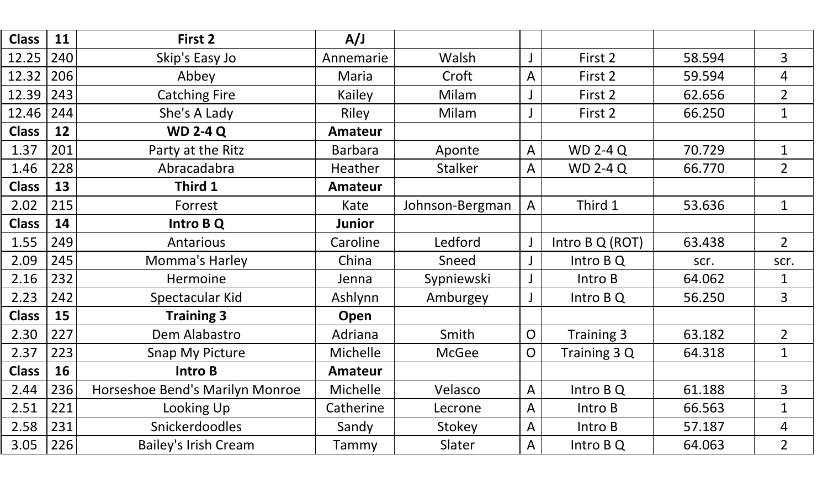| <b>Class</b> | 11  | First 2                         | A/J             |                 |                |                 |        |                |
|--------------|-----|---------------------------------|-----------------|-----------------|----------------|-----------------|--------|----------------|
| 12.25        | 240 | Skip's Easy Jo                  | Annemarie       | Walsh           |                | First 2         | 58.594 | $\overline{3}$ |
| 12.32        | 206 | Abbey                           | Maria           | Croft           | $\mathsf{A}$   | First 2         | 59.594 | $\overline{4}$ |
| 12.39        | 243 | <b>Catching Fire</b>            | <b>Kailey</b>   | Milam           |                | First 2         | 62.656 | $\overline{2}$ |
| 12.46        | 244 | She's A Lady                    | Riley           | Milam           |                | First 2         | 66.250 | $\mathbf{1}$   |
| <b>Class</b> | 12  | <b>WD 2-4 Q</b>                 | <b>Amateur</b>  |                 |                |                 |        |                |
| 1.37         | 201 | Party at the Ritz               | <b>Barbara</b>  | Aponte          | $\mathsf{A}$   | <b>WD 2-4 Q</b> | 70.729 | $\mathbf{1}$   |
| 1.46         | 228 | Abracadabra                     | <b>Heather</b>  | <b>Stalker</b>  | A              | <b>WD 2-4 Q</b> | 66.770 | $\overline{2}$ |
| <b>Class</b> | 13  | Third 1                         | <b>Amateur</b>  |                 |                |                 |        |                |
| 2.02         | 215 | Forrest                         | Kate            | Johnson-Bergman | $\overline{A}$ | Third 1         | 53.636 | $\mathbf{1}$   |
| <b>Class</b> | 14  | Intro B Q                       | Junior          |                 |                |                 |        |                |
| 1.55         | 249 | Antarious                       | Caroline        | Ledford         | J              | Intro B Q (ROT) | 63.438 | $\overline{2}$ |
| 2.09         | 245 | Momma's Harley                  | China           | Sneed           |                | Intro B Q       | scr.   | scr.           |
| 2.16         | 232 | Hermoine                        | Jenna           | Sypniewski      | J              | Intro B         | 64.062 | $\mathbf 1$    |
| 2.23         | 242 | Spectacular Kid                 | Ashlynn         | Amburgey        |                | Intro B Q       | 56.250 | $\overline{3}$ |
| <b>Class</b> | 15  | <b>Training 3</b>               | Open            |                 |                |                 |        |                |
| 2.30         | 227 | Dem Alabastro                   | Adriana         | Smith           | $\overline{O}$ | Training 3      | 63.182 | $\overline{2}$ |
| 2.37         | 223 | Snap My Picture                 | <b>Michelle</b> | <b>McGee</b>    | $\overline{O}$ | Training 3 Q    | 64.318 | $\mathbf 1$    |
| <b>Class</b> | 16  | <b>Intro B</b>                  | <b>Amateur</b>  |                 |                |                 |        |                |
| 2.44         | 236 | Horseshoe Bend's Marilyn Monroe | Michelle        | Velasco         | $\mathsf{A}$   | Intro B Q       | 61.188 | 3              |
| 2.51         | 221 | Looking Up                      | Catherine       | Lecrone         | A              | Intro B         | 66.563 | $\mathbf 1$    |
| 2.58         | 231 | <b>Snickerdoodles</b>           | Sandy           | Stokey          | $\mathsf{A}$   | Intro B         | 57.187 | 4              |
| 3.05         | 226 | <b>Bailey's Irish Cream</b>     | Tammy           | Slater          | $\mathsf{A}$   | Intro B Q       | 64.063 | $\overline{2}$ |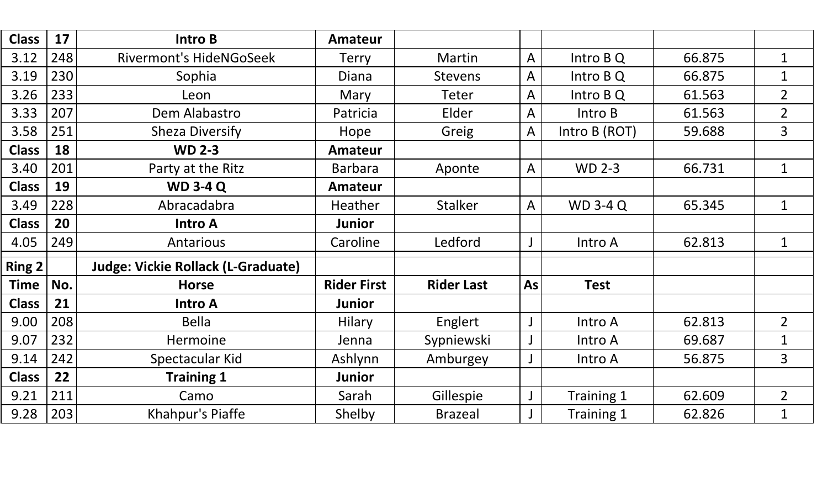| <b>Class</b>  | 17  | Intro B                                   | Amateur            |                   |                |                 |        |                |
|---------------|-----|-------------------------------------------|--------------------|-------------------|----------------|-----------------|--------|----------------|
| 3.12          | 248 | <b>Rivermont's HideNGoSeek</b>            | <b>Terry</b>       | Martin            | $\mathsf{A}$   | Intro B Q       | 66.875 | $\mathbf 1$    |
| 3.19          | 230 | Sophia                                    | Diana              | <b>Stevens</b>    | $\mathsf{A}$   | Intro B Q       | 66.875 | $\mathbf{1}$   |
| 3.26          | 233 | Leon                                      | Mary               | <b>Teter</b>      | $\overline{A}$ | Intro B Q       | 61.563 | $\overline{2}$ |
| 3.33          | 207 | Dem Alabastro                             | Patricia           | Elder             | $\overline{A}$ | Intro B         | 61.563 | $\overline{2}$ |
| 3.58          | 251 | <b>Sheza Diversify</b>                    | Hope               | Greig             | $\mathsf{A}$   | Intro B (ROT)   | 59.688 | $\overline{3}$ |
| <b>Class</b>  | 18  | <b>WD 2-3</b>                             | <b>Amateur</b>     |                   |                |                 |        |                |
| 3.40          | 201 | Party at the Ritz                         | Barbara            | Aponte            | $\mathsf{A}$   | <b>WD 2-3</b>   | 66.731 | $\mathbf{1}$   |
| <b>Class</b>  | 19  | <b>WD 3-4 Q</b>                           | <b>Amateur</b>     |                   |                |                 |        |                |
| 3.49          | 228 | Abracadabra                               | Heather            | <b>Stalker</b>    | $\mathsf{A}$   | <b>WD 3-4 Q</b> | 65.345 | $\mathbf 1$    |
| <b>Class</b>  | 20  | <b>Intro A</b>                            | <b>Junior</b>      |                   |                |                 |        |                |
| 4.05          | 249 | Antarious                                 | Caroline           | Ledford           | J              | Intro A         | 62.813 | $\mathbf 1$    |
| <b>Ring 2</b> |     | <b>Judge: Vickie Rollack (L-Graduate)</b> |                    |                   |                |                 |        |                |
| <b>Time</b>   | No. | <b>Horse</b>                              | <b>Rider First</b> | <b>Rider Last</b> | As             | <b>Test</b>     |        |                |
| <b>Class</b>  | 21  | <b>Intro A</b>                            | <b>Junior</b>      |                   |                |                 |        |                |
| 9.00          | 208 | <b>Bella</b>                              | <b>Hilary</b>      | Englert           |                | Intro A         | 62.813 | $\overline{2}$ |
| 9.07          | 232 | <b>Hermoine</b>                           | Jenna              | Sypniewski        |                | Intro A         | 69.687 | $\mathbf 1$    |
| 9.14          | 242 | Spectacular Kid                           | Ashlynn            | Amburgey          |                | Intro A         | 56.875 | $\overline{3}$ |
| <b>Class</b>  | 22  | <b>Training 1</b>                         | <b>Junior</b>      |                   |                |                 |        |                |
| 9.21          | 211 | Camo                                      | Sarah              | Gillespie         | $\bigcup$      | Training 1      | 62.609 | $\overline{2}$ |
| 9.28          | 203 | Khahpur's Piaffe                          | Shelby             | <b>Brazeal</b>    |                | Training 1      | 62.826 | $\mathbf 1$    |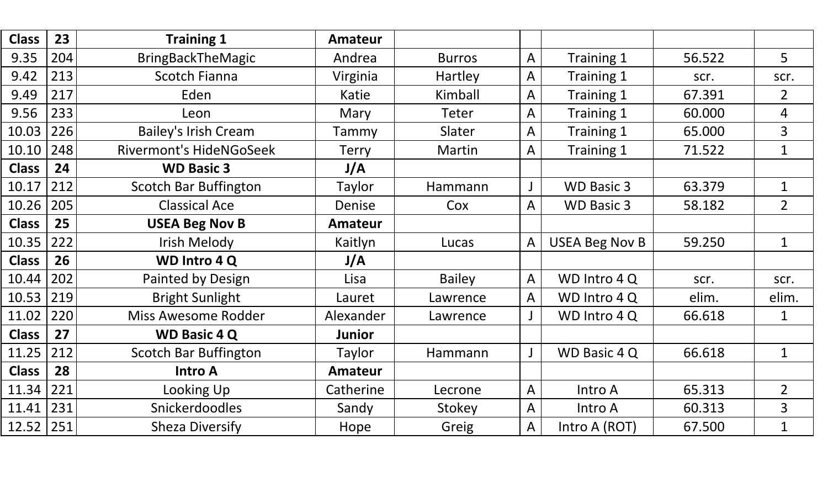| <b>Class</b>  | 23  | <b>Training 1</b>              | <b>Amateur</b> |               |                |                       |        |                |
|---------------|-----|--------------------------------|----------------|---------------|----------------|-----------------------|--------|----------------|
| 9.35          | 204 | <b>BringBackTheMagic</b>       | Andrea         | <b>Burros</b> | $\overline{A}$ | Training 1            | 56.522 | 5              |
| 9.42          | 213 | <b>Scotch Fianna</b>           | Virginia       | Hartley       | $\overline{A}$ | Training 1            | scr.   | scr.           |
| 9.49          | 217 | Eden                           | Katie          | Kimball       | $\overline{A}$ | Training 1            | 67.391 | $\overline{2}$ |
| 9.56          | 233 | Leon                           | Mary           | <b>Teter</b>  | $\overline{A}$ | Training 1            | 60.000 | $\overline{4}$ |
| 10.03         | 226 | <b>Bailey's Irish Cream</b>    | Tammy          | Slater        | $\overline{A}$ | Training 1            | 65.000 | 3              |
| 10.10         | 248 | <b>Rivermont's HideNGoSeek</b> | <b>Terry</b>   | Martin        | $\overline{A}$ | Training 1            | 71.522 | $\mathbf{1}$   |
| <b>Class</b>  | 24  | <b>WD Basic 3</b>              | J/A            |               |                |                       |        |                |
| 10.17         | 212 | <b>Scotch Bar Buffington</b>   | Taylor         | Hammann       |                | <b>WD Basic 3</b>     | 63.379 | $\mathbf{1}$   |
| 10.26         | 205 | <b>Classical Ace</b>           | Denise         | Cox           | $\overline{A}$ | <b>WD Basic 3</b>     | 58.182 | $\overline{2}$ |
| <b>Class</b>  | 25  | <b>USEA Beg Nov B</b>          | <b>Amateur</b> |               |                |                       |        |                |
| 10.35         | 222 | Irish Melody                   | Kaitlyn        | Lucas         | $\overline{A}$ | <b>USEA Beg Nov B</b> | 59.250 | $\mathbf{1}$   |
| <b>Class</b>  | 26  | <b>WD Intro 4 Q</b>            | J/A            |               |                |                       |        |                |
| 10.44         | 202 | Painted by Design              | Lisa           | <b>Bailey</b> | $\mathsf{A}$   | WD Intro 4Q           | scr.   | scr.           |
| 10.53         | 219 | <b>Bright Sunlight</b>         | Lauret         | Lawrence      | $\overline{A}$ | WD Intro 4 Q          | elim.  | elim.          |
| 11.02         | 220 | <b>Miss Awesome Rodder</b>     | Alexander      | Lawrence      |                | WD Intro 4 Q          | 66.618 | $\mathbf{1}$   |
| <b>Class</b>  | 27  | <b>WD Basic 4 Q</b>            | <b>Junior</b>  |               |                |                       |        |                |
| 11.25         | 212 | <b>Scotch Bar Buffington</b>   | Taylor         | Hammann       | $\mathsf{J}$   | WD Basic 4 Q          | 66.618 | $\mathbf{1}$   |
| <b>Class</b>  | 28  | <b>Intro A</b>                 | <b>Amateur</b> |               |                |                       |        |                |
| 11.34         | 221 | Looking Up                     | Catherine      | Lecrone       | $\overline{A}$ | Intro A               | 65.313 | $\overline{2}$ |
| 11.41         | 231 | Snickerdoodles                 | Sandy          | Stokey        | $\overline{A}$ | Intro A               | 60.313 | $\overline{3}$ |
| $12.52$   251 |     | <b>Sheza Diversify</b>         | Hope           | Greig         | $\overline{A}$ | Intro A (ROT)         | 67.500 | $\mathbf{1}$   |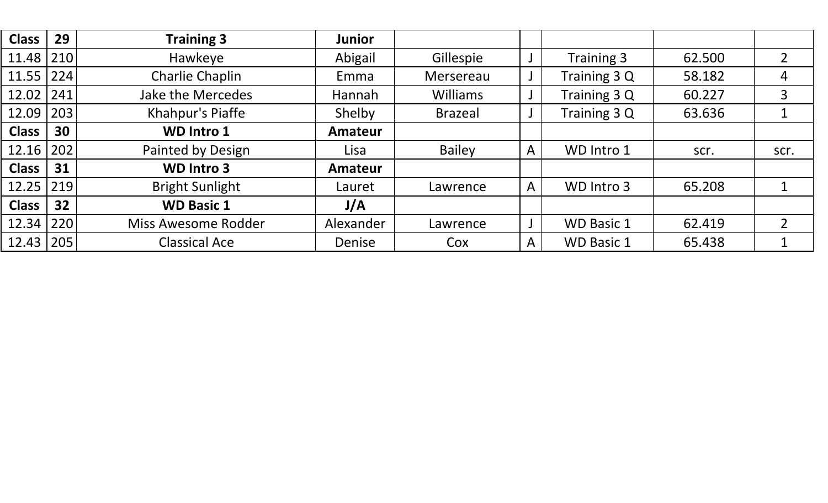| <b>Class</b> | 29  | <b>Training 3</b>      | <b>Junior</b> |                 |   |                   |        |                |
|--------------|-----|------------------------|---------------|-----------------|---|-------------------|--------|----------------|
| 11.48        | 210 | Hawkeye                | Abigail       | Gillespie       |   | Training 3        | 62.500 | 2              |
| 11.55        | 224 | Charlie Chaplin        | Emma          | Mersereau       |   | Training 3 Q      | 58.182 | $\overline{4}$ |
| 12.02        | 241 | Jake the Mercedes      | <b>Hannah</b> | <b>Williams</b> |   | Training 3 Q      | 60.227 | 3              |
| 12.09        | 203 | Khahpur's Piaffe       | Shelby        | <b>Brazeal</b>  |   | Training 3 Q      | 63.636 | 1              |
| <b>Class</b> | 30  | <b>WD Intro 1</b>      | Amateur       |                 |   |                   |        |                |
| 12.16        | 202 | Painted by Design      | Lisa          | <b>Bailey</b>   | A | WD Intro 1        | scr.   | scr.           |
| <b>Class</b> | 31  | <b>WD Intro 3</b>      | Amateur       |                 |   |                   |        |                |
| 12.25        | 219 | <b>Bright Sunlight</b> | Lauret        | Lawrence        | A | WD Intro 3        | 65.208 | 1              |
| <b>Class</b> | 32  | <b>WD Basic 1</b>      | J/A           |                 |   |                   |        |                |
| 12.34        | 220 | Miss Awesome Rodder    | Alexander     | Lawrence        |   | <b>WD Basic 1</b> | 62.419 | $\overline{2}$ |
| 12.43        | 205 | <b>Classical Ace</b>   | Denise        | Cox             | A | <b>WD Basic 1</b> | 65.438 | 1              |